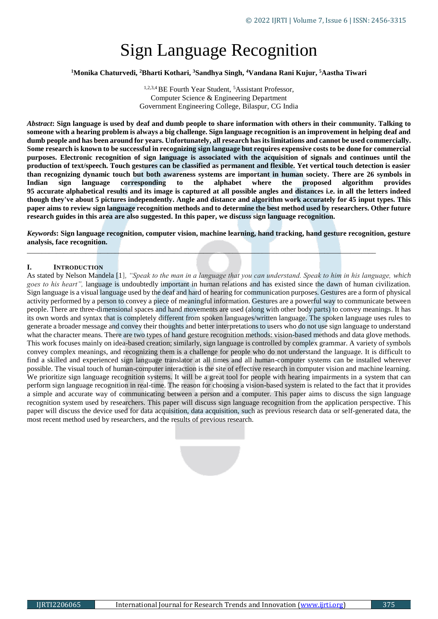# Sign Language Recognition

#### **<sup>1</sup>Monika Chaturvedi, <sup>2</sup>Bharti Kothari, <sup>3</sup>Sandhya Singh, <sup>4</sup>Vandana Rani Kujur, <sup>5</sup>Aastha Tiwari**

<sup>1,2,3,4</sup> BE Fourth Year Student, <sup>5</sup>Assistant Professor, Computer Science & Engineering Department Government Engineering College, Bilaspur, CG India

*Abstract***: Sign language is used by deaf and dumb people to share information with others in their community. Talking to someone with a hearing problem is always a big challenge. Sign language recognition is an improvement in helping deaf and dumb people and has been around for years. Unfortunately, all research has its limitations and cannot be used commercially. Some research is known to be successful in recognizing sign language but requires expensive costs to be done for commercial purposes. Electronic recognition of sign language is associated with the acquisition of signals and continues until the production of text/speech. Touch gestures can be classified as permanent and flexible. Yet vertical touch detection is easier than recognizing dynamic touch but both awareness systems are important in human society. There are 26 symbols in Indian sign language corresponding to the alphabet where the proposed algorithm provides 95 accurate alphabetical results and its image is captured at all possible angles and distances i.e. in all the letters indeed though they've about 5 pictures independently. Angle and distance and algorithm work accurately for 45 input types. This paper aims to review sign language recognition methods and to determine the best method used by researchers. Other future research guides in this area are also suggested. In this paper, we discuss sign language recognition.**

*Keywords***: Sign language recognition, computer vision, machine learning, hand tracking, hand gesture recognition, gesture analysis, face recognition.**

\_\_\_\_\_\_\_\_\_\_\_\_\_\_\_\_\_\_\_\_\_\_\_\_\_\_\_\_\_\_\_\_\_\_\_\_\_\_\_\_\_\_\_\_\_\_\_\_\_\_\_\_\_\_\_\_\_\_\_\_\_\_\_\_\_\_\_\_\_\_\_\_\_\_\_\_\_\_\_\_\_\_\_\_\_\_\_\_\_\_\_\_\_\_\_

#### **I. INTRODUCTION**

As stated by Nelson Mandela [1], *"Speak to the man in a language that you can understand. Speak to him in his language, which goes to his heart",* language is undoubtedly important in human relations and has existed since the dawn of human civilization. Sign language is a visual language used by the deaf and hard of hearing for communication purposes. Gestures are a form of physical activity performed by a person to convey a piece of meaningful information. Gestures are a powerful way to communicate between people. There are three-dimensional spaces and hand movements are used (along with other body parts) to convey meanings. It has its own words and syntax that is completely different from spoken languages/written language. The spoken language uses rules to generate a broader message and convey their thoughts and better interpretations to users who do not use sign language to understand what the character means. There are two types of hand gesture recognition methods: vision-based methods and data glove methods. This work focuses mainly on idea-based creation; similarly, sign language is controlled by complex grammar. A variety of symbols convey complex meanings, and recognizing them is a challenge for people who do not understand the language. It is difficult to find a skilled and experienced sign language translator at all times and all human-computer systems can be installed wherever possible. The visual touch of human-computer interaction is the site of effective research in computer vision and machine learning. We prioritize sign language recognition systems. It will be a great tool for people with hearing impairments in a system that can perform sign language recognition in real-time. The reason for choosing a vision-based system is related to the fact that it provides a simple and accurate way of communicating between a person and a computer. This paper aims to discuss the sign language recognition system used by researchers. This paper will discuss sign language recognition from the application perspective. This paper will discuss the device used for data acquisition, data acquisition, such as previous research data or self-generated data, the most recent method used by researchers, and the results of previous research.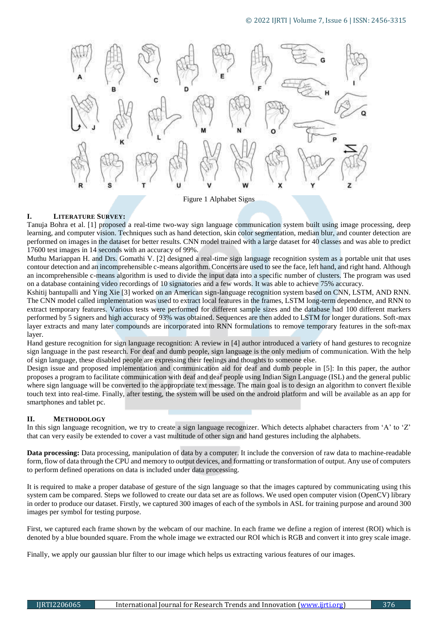

Figure 1 Alphabet Signs

### **I. LITERATURE SURVEY:**

Tanuja Bohra et al. [1] proposed a real-time two-way sign language communication system built using image processing, deep learning, and computer vision. Techniques such as hand detection, skin color segmentation, median blur, and counter detection are performed on images in the dataset for better results. CNN model trained with a large dataset for 40 classes and was able to predict 17600 test images in 14 seconds with an accuracy of 99%.

Muthu Mariappan H. and Drs. Gomathi V. [2] designed a real-time sign language recognition system as a portable unit that uses contour detection and an incomprehensible c-means algorithm. Concerts are used to see the face, left hand, and right hand. Although an incomprehensible c-means algorithm is used to divide the input data into a specific number of clusters. The program was used on a database containing video recordings of 10 signatories and a few words. It was able to achieve 75% accuracy.

Kshitij bantupalli and Ying Xie [3] worked on an American sign-language recognition system based on CNN, LSTM, AND RNN. The CNN model called implementation was used to extract local features in the frames, LSTM long-term dependence, and RNN to extract temporary features. Various tests were performed for different sample sizes and the database had 100 different markers performed by 5 signers and high accuracy of 93% was obtained. Sequences are then added to LSTM for longer durations. Soft-max layer extracts and many later compounds are incorporated into RNN formulations to remove temporary features in the soft-max layer.

Hand gesture recognition for sign language recognition: A review in [4] author introduced a variety of hand gestures to recognize sign language in the past research. For deaf and dumb people, sign language is the only medium of communication. With the help of sign language, these disabled people are expressing their feelings and thoughts to someone else.

Design issue and proposed implementation and communication aid for deaf and dumb people in [5]: In this paper, the author proposes a program to facilitate communication with deaf and deaf people using Indian Sign Language (ISL) and the general public where sign language will be converted to the appropriate text message. The main goal is to design an algorithm to convert flexible touch text into real-time. Finally, after testing, the system will be used on the android platform and will be available as an app for smartphones and tablet pc.

# **II. METHODOLOGY**

In this sign language recognition, we try to create a sign language recognizer. Which detects alphabet characters from 'A' to 'Z' that can very easily be extended to cover a vast multitude of other sign and hand gestures including the alphabets.

**Data processing:** Data processing, manipulation of data by a computer. It include the conversion of raw data to machine-readable form, flow of data through the CPU and memory to output devices, and formatting or transformation of output. Any use of computers to perform defined operations on data is included under data processing.

It is required to make a proper database of gesture of the sign language so that the images captured by communicating using this system cam be compared. Steps we followed to create our data set are as follows. We used open computer vision (OpenCV) library in order to produce our dataset. Firstly, we captured 300 images of each of the symbols in ASL for training purpose and around 300 images per symbol for testing purpose.

First, we captured each frame shown by the webcam of our machine. In each frame we define a region of interest (ROI) which is denoted by a blue bounded square. From the whole image we extracted our ROI which is RGB and convert it into grey scale image.

Finally, we apply our gaussian blur filter to our image which helps us extracting various features of our images.